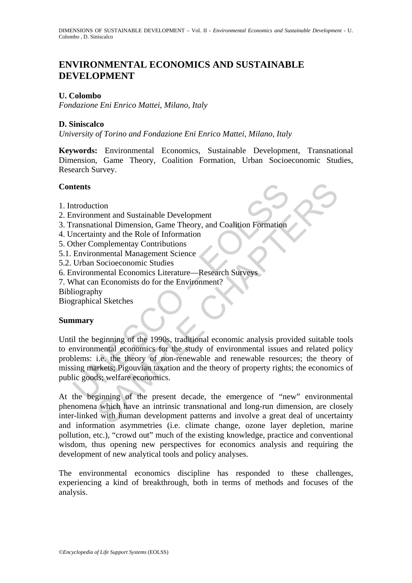# **ENVIRONMENTAL ECONOMICS AND SUSTAINABLE DEVELOPMENT**

### **U. Colombo**

*Fondazione Eni Enrico Mattei, Milano, Italy* 

### **D. Siniscalco**

*University of Torino and Fondazione Eni Enrico Mattei, Milano, Italy* 

**Keywords:** Environmental Economics, Sustainable Development, Transnational Dimension, Game Theory, Coalition Formation, Urban Socioeconomic Studies, Research Survey.

### **Contents**

- 1. Introduction
- 2. Environment and Sustainable Development
- 3. Transnational Dimension, Game Theory, and Coalition Formation
- 4. Uncertainty and the Role of Information
- 5. Other Complementay Contributions
- 5.1. Environmental Management Science
- 5.2. Urban Socioeconomic Studies
- 6. Environmental Economics Literature—Research Surveys
- 7. What can Economists do for the Environment?
- Bibliography

Biographical Sketches

#### **Summary**

**Example 15**<br>
Introduction<br>
Invironment and Sustainable Development<br>
Iransnational Dimension, Game Theory, and Coalition Formation<br>
Incertainty and the Role of Information<br>
Intertainty and the Role of Information<br>
Environm tion<br>
ment and Sustainable Development<br>
ment and Sustainable Development<br>
my and the Role of Information<br>
my and the Role of Information<br>
mental Management Science<br>
Socioeconomic Studies<br>
mental Economists do for the Envir Until the beginning of the 1990s, traditional economic analysis provided suitable tools to environmental economics for the study of environmental issues and related policy problems: i.e. the theory of non-renewable and renewable resources; the theory of missing markets; Pigouvian taxation and the theory of property rights; the economics of public goods; welfare economics.

At the beginning of the present decade, the emergence of "new" environmental phenomena which have an intrinsic transnational and long-run dimension, are closely inter-linked with human development patterns and involve a great deal of uncertainty and information asymmetries (i.e. climate change, ozone layer depletion, marine pollution, etc.), "crowd out" much of the existing knowledge, practice and conventional wisdom, thus opening new perspectives for economics analysis and requiring the development of new analytical tools and policy analyses.

The environmental economics discipline has responded to these challenges, experiencing a kind of breakthrough, both in terms of methods and focuses of the analysis.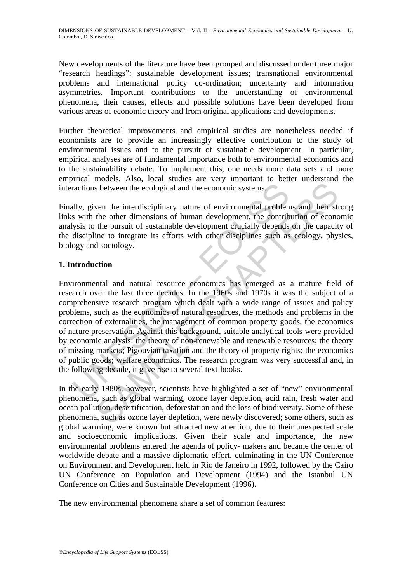New developments of the literature have been grouped and discussed under three major "research headings": sustainable development issues; transnational environmental problems and international policy co-ordination; uncertainty and information asymmetries. Important contributions to the understanding of environmental phenomena, their causes, effects and possible solutions have been developed from various areas of economic theory and from original applications and developments.

Further theoretical improvements and empirical studies are nonetheless needed if economists are to provide an increasingly effective contribution to the study of environmental issues and to the pursuit of sustainable development. In particular, empirical analyses are of fundamental importance both to environmental economics and to the sustainability debate. To implement this, one needs more data sets and more empirical models. Also, local studies are very important to better understand the interactions between the ecological and the economic systems.

Finally, given the interdisciplinary nature of environmental problems and their strong links with the other dimensions of human development, the contribution of economic analysis to the pursuit of sustainable development crucially depends on the capacity of the discipline to integrate its efforts with other disciplines such as ecology, physics, biology and sociology.

## **1. Introduction**

ractions between the ecological and the economic systems.<br>
Illy, given the interdisciplinary nature of environmental problem<br>
so with the other dimensions of human development, the contrib<br>
systs to the pursuit of sustaina In the interdisciplinary nature of environmental problems and their states between the ecological and the economic systems.<br>
Wen the interdisciplinary nature of environmental problems and their state of the pursuit of sust Environmental and natural resource economics has emerged as a mature field of research over the last three decades. In the 1960s and 1970s it was the subject of a comprehensive research program which dealt with a wide range of issues and policy problems, such as the economics of natural resources, the methods and problems in the correction of externalities, the management of common property goods, the economics of nature preservation. Against this background, suitable analytical tools were provided by economic analysis: the theory of non-renewable and renewable resources; the theory of missing markets; Pigouvian taxation and the theory of property rights; the economics of public goods; welfare economics. The research program was very successful and, in the following decade, it gave rise to several text-books.

In the early 1980s, however, scientists have highlighted a set of "new" environmental phenomena, such as global warming, ozone layer depletion, acid rain, fresh water and ocean pollution, desertification, deforestation and the loss of biodiversity. Some of these phenomena, such as ozone layer depletion, were newly discovered; some others, such as global warming, were known but attracted new attention, due to their unexpected scale and socioeconomic implications. Given their scale and importance, the new environmental problems entered the agenda of policy- makers and became the center of worldwide debate and a massive diplomatic effort, culminating in the UN Conference on Environment and Development held in Rio de Janeiro in 1992, followed by the Cairo UN Conference on Population and Development (1994) and the Istanbul UN Conference on Cities and Sustainable Development (1996).

The new environmental phenomena share a set of common features: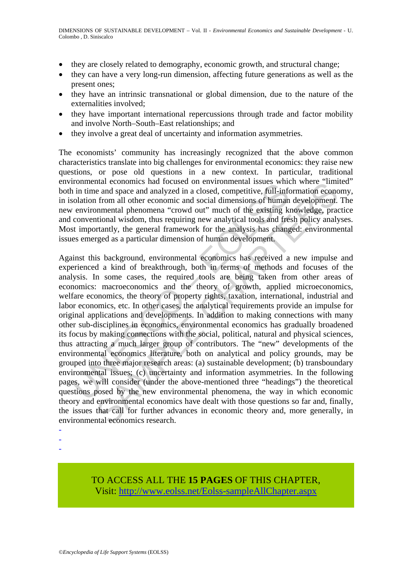- they are closely related to demography, economic growth, and structural change;
- they can have a very long-run dimension, affecting future generations as well as the present ones;
- they have an intrinsic transnational or global dimension, due to the nature of the externalities involved;
- they have important international repercussions through trade and factor mobility and involve North–South–East relationships; and
- they involve a great deal of uncertainty and information asymmetries.

The economists' community has increasingly recognized that the above common characteristics translate into big challenges for environmental economics: they raise new questions, or pose old questions in a new context. In particular, traditional environmental economics had focused on environmental issues which where "limited" both in time and space and analyzed in a closed, competitive, full-information economy, in isolation from all other economic and social dimensions of human development. The new environmental phenomena "crowd out" much of the existing knowledge, practice and conventional wisdom, thus requiring new analytical tools and fresh policy analyses. Most importantly, the general framework for the analysis has changed: environmental issues emerged as a particular dimension of human development.

nominal action and otical conducts and otical continuous in the members are worrelated or in the and space and analyzed in a closed, competitive, full-inforcial control or in the existing knowntino and social dimensions of man economics nat oteaus of environmental issues where immunital consideration and evaluation and other economic and social dimensions of human development. In form all other economic and social dimensions of human develop Against this background, environmental economics has received a new impulse and experienced a kind of breakthrough, both in terms of methods and focuses of the analysis. In some cases, the required tools are being taken from other areas of economics: macroeconomics and the theory of growth, applied microeconomics, welfare economics, the theory of property rights, taxation, international, industrial and labor economics, etc. In other cases, the analytical requirements provide an impulse for original applications and developments. In addition to making connections with many other sub-disciplines in economics, environmental economics has gradually broadened its focus by making connections with the social, political, natural and physical sciences, thus attracting a much larger group of contributors. The "new" developments of the environmental economics literature, both on analytical and policy grounds, may be grouped into three major research areas: (a) sustainable development; (b) transboundary environmental issues; (c) uncertainty and information asymmetries. In the following pages, we will consider (under the above-mentioned three "headings") the theoretical questions posed by the new environmental phenomena, the way in which economic theory and environmental economics have dealt with those questions so far and, finally, the issues that call for further advances in economic theory and, more generally, in environmental economics research.

- -

-

TO ACCESS ALL THE **15 PAGES** OF THIS CHAPTER, Visit[: http://www.eolss.net/Eolss-sampleAllChapter.aspx](https://www.eolss.net/ebooklib/sc_cart.aspx?File=E1-46B-20)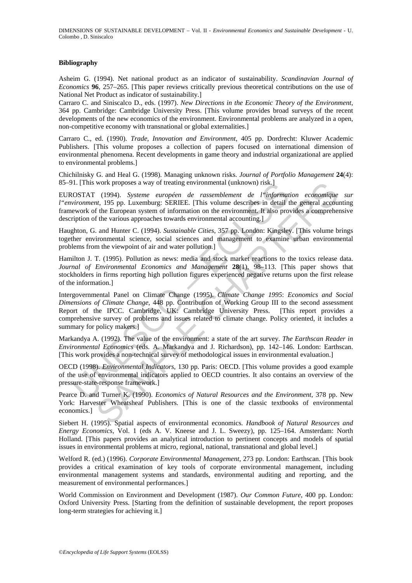#### **Bibliography**

Asheim G. (1994). Net national product as an indicator of sustainability. *Scandinavian Journal of Economics* **96**, 257–265. [This paper reviews critically previous theoretical contributions on the use of National Net Product as indicator of sustainability.]

Carraro C. and Siniscalco D., eds. (1997). *New Directions in the Economic Theory of the Environment*, 364 pp. Cambridge: Cambridge University Press. [This volume provides broad surveys of the recent developments of the new economics of the environment. Environmental problems are analyzed in a open, non-competitive economy with transnational or global externalities.]

Carraro C., ed. (1990). *Trade, Innovation and Environment*, 405 pp. Dordrecht: Kluwer Academic Publishers. [This volume proposes a collection of papers focused on international dimension of environmental phenomena. Recent developments in game theory and industrial organizational are applied to environmental problems.]

Chichilnisky G. and Heal G. (1998). Managing unknown risks. *Journal of Portfolio Management* **24**(4): 85–91. [This work proposes a way of treating environmental (unknown) risk.]

EUROSTAT (1994). *Systeme européen de rassemblement de l"information economique sur l"environment*, 195 pp. Luxemburg: SERIEE. [This volume describes in detail the general accounting framework of the European system of information on the environment. It also provides a comprehensive description of the various approaches towards environmental accounting.]

Haughton, G. and Hunter C. (1994). *Sustainable Cities*, 357 pp. London: Kingsley. [This volume brings together environmental science, social sciences and management to examine urban environmental problems from the viewpoint of air and water pollution.]

Hamilton J. T. (1995). Pollution as news: media and stock market reactions to the toxics release data. *Journal of Environmental Economics and Management* **28**(1), 98–113. [This paper shows that stockholders in firms reporting high pollution figures experienced negative returns upon the first release of the information.]

1. [1 his work proposes a way of treating environmental (unknown) risk.]<br>OSTAT (1994). Systeme européen de rassemblement de l'informativement,<br>USTAT (1995). Listemburg: SERIEE. [This volume describes in detail<br>tiverament, work proposes a way of treating environmental (unknown) risk.]<br>
(1994). Systeme européen de rassemblement de l'information economique<br>
(1994). Systeme européen de rassemblement de l'information economique<br>
(f) the Europea Intergovernmental Panel on Climate Change (1995). *Climate Change 1995*: *Economics and Social Dimensions of Climate Change*, 448 pp. Contribution of Working Group III to the second assessment Report of the IPCC. Cambridge, UK: Cambridge University Press. [This report provides a comprehensive survey of problems and issues related to climate change. Policy oriented, it includes a summary for policy makers.]

Markandya A. (1992). The value of the environment: a state of the art survey. *The Earthscan Reader in Environmental Economics* (eds. A. Markandya and J. Richardson), pp. 142–146. London: Earthscan. [This work provides a non-technical survey of methodological issues in environmental evaluation.]

OECD (1998). *Environmental Indicators*, 130 pp. Paris: OECD. [This volume provides a good example of the use of environmental indicators applied to OECD countries. It also contains an overview of the pressure-state-response framework.]

Pearce D. and Turner K. (1990). *Economics of Natural Resources and the Environment*, 378 pp. New York: Harvester Wheatsheaf Publishers. [This is one of the classic textbooks of environmental economics.]

Siebert H. (1995). Spatial aspects of environmental economics. *Handbook of Natural Resources and Energy Economics*, Vol. 1 (eds A. V. Kneese and J. L. Sweezy), pp. 125–164. Amsterdam: North Holland. [This papers provides an analytical introduction to pertinent concepts and models of spatial issues in environmental problems at micro, regional, national, transnational and global level.]

Welford R. (ed.) (1996). *Corporate Environmental Management*, 273 pp. London: Earthscan. [This book provides a critical examination of key tools of corporate environmental management, including environmental management systems and standards, environmental auditing and reporting, and the measurement of environmental performances.]

World Commission on Environment and Development (1987). *Our Common Future*, 400 pp. London: Oxford University Press. [Starting from the definition of sustainable development, the report proposes long-term strategies for achieving it.]